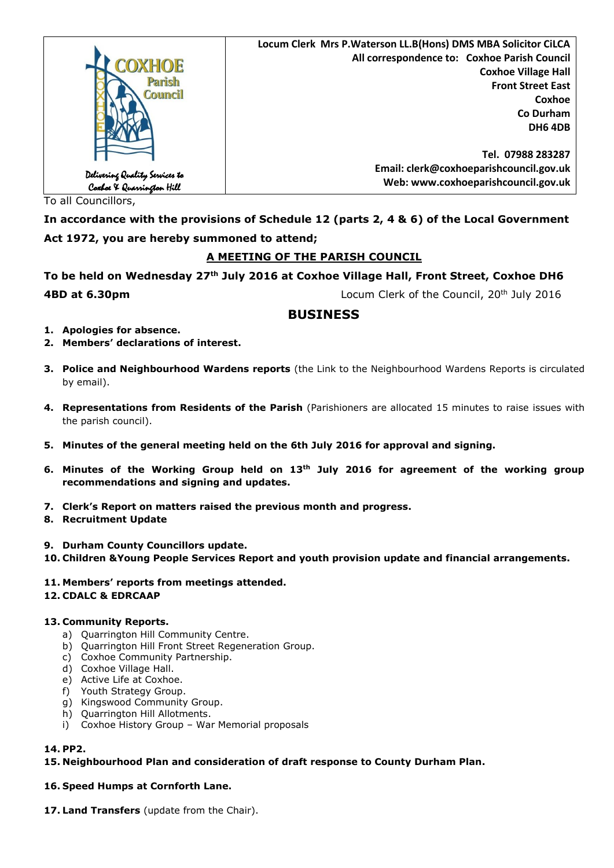|                                                             | Locum Clerk Mrs P. Waterson LL.B(Hons) DMS MBA Solicitor CiLCA |
|-------------------------------------------------------------|----------------------------------------------------------------|
| <b>COXHOE</b>                                               | All correspondence to: Coxhoe Parish Council                   |
|                                                             | <b>Coxhoe Village Hall</b>                                     |
| Parish                                                      | <b>Front Street East</b>                                       |
| Council                                                     | Coxhoe                                                         |
|                                                             | Co Durham                                                      |
|                                                             | <b>DH6 4DB</b>                                                 |
|                                                             |                                                                |
|                                                             | Tel. 07988 283287                                              |
|                                                             | Email: clerk@coxhoeparishcouncil.gov.uk                        |
| Delivering Quality Services to<br>Coxboe X Quarrington Hill | Web: www.coxhoeparishcouncil.gov.uk                            |

To all Councillors,

**In accordance with the provisions of Schedule 12 (parts 2, 4 & 6) of the Local Government Act 1972, you are hereby summoned to attend;**

# **A MEETING OF THE PARISH COUNCIL**

**To be held on Wednesday 27th July 2016 at Coxhoe Village Hall, Front Street, Coxhoe DH6 4BD at 6.30pm Locum Clerk of the Council, 20<sup>th</sup> July 2016** 

# **BUSINESS**

- **1. Apologies for absence.**
- **2. Members' declarations of interest.**
- **3. Police and Neighbourhood Wardens reports** (the Link to the Neighbourhood Wardens Reports is circulated by email).
- **4. Representations from Residents of the Parish** (Parishioners are allocated 15 minutes to raise issues with the parish council).
- **5. Minutes of the general meeting held on the 6th July 2016 for approval and signing.**
- **6. Minutes of the Working Group held on 13th July 2016 for agreement of the working group recommendations and signing and updates.**
- **7. Clerk's Report on matters raised the previous month and progress.**
- **8. Recruitment Update**
- **9. Durham County Councillors update.**
- **10. Children &Young People Services Report and youth provision update and financial arrangements.**
- **11. Members' reports from meetings attended.**
- **12. CDALC & EDRCAAP**

# **13. Community Reports.**

- a) Quarrington Hill Community Centre.
- b) Quarrington Hill Front Street Regeneration Group.
- c) Coxhoe Community Partnership.
- d) Coxhoe Village Hall.
- e) Active Life at Coxhoe.
- f) Youth Strategy Group.
- g) Kingswood Community Group.
- h) Quarrington Hill Allotments.
- i) Coxhoe History Group War Memorial proposals

# **14. PP2.**

# **15. Neighbourhood Plan and consideration of draft response to County Durham Plan.**

# **16. Speed Humps at Cornforth Lane.**

**17. Land Transfers** (update from the Chair).